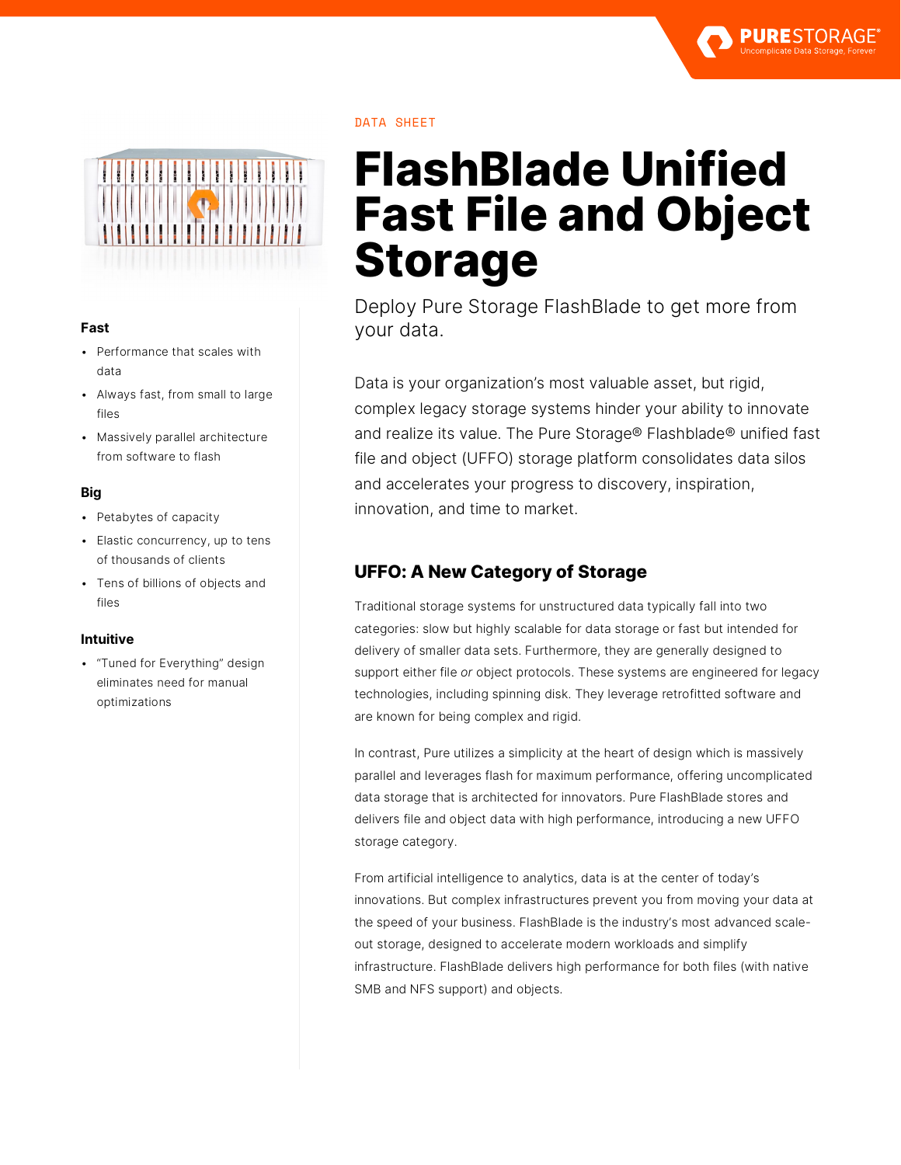



#### **Fast**

- Performance that scales with data
- Always fast, from small to large files
- Massively parallel architecture from software to flash

#### **Big**

- Petabytes of capacity
- Elastic concurrency, up to tens of thousands of clients
- Tens of billions of objects and files

#### **Intuitive**

• "Tuned for Everything" design eliminates need for manual optimizations

#### DATA SHEET

# **FlashBlade Unified Fast File and Object Storage**

Deploy Pure Storage FlashBlade to get more from your data.

Data is your organization's most valuable asset, but rigid, complex legacy storage systems hinder your ability to innovate and realize its value. The Pure Storage® Flashblade® unified fast file and object (UFFO) storage platform consolidates data silos and accelerates your progress to discovery, inspiration, innovation, and time to market.

## **UFFO: A New Category of Storage**

Traditional storage systems for unstructured data typically fall into two categories: slow but highly scalable for data storage or fast but intended for delivery of smaller data sets. Furthermore, they are generally designed to support either file *or* object protocols. These systems are engineered for legacy technologies, including spinning disk. They leverage retrofitted software and are known for being complex and rigid.

In contrast, Pure utilizes a simplicity at the heart of design which is massively parallel and leverages flash for maximum performance, offering uncomplicated data storage that is architected for innovators. Pure FlashBlade stores and delivers file and object data with high performance, introducing a new UFFO storage category.

From artificial intelligence to analytics, data is at the center of today's innovations. But complex infrastructures prevent you from moving your data at the speed of your business. FlashBlade is the industry's most advanced scaleout storage, designed to accelerate modern workloads and simplify infrastructure. FlashBlade delivers high performance for both files (with native SMB and NFS support) and objects.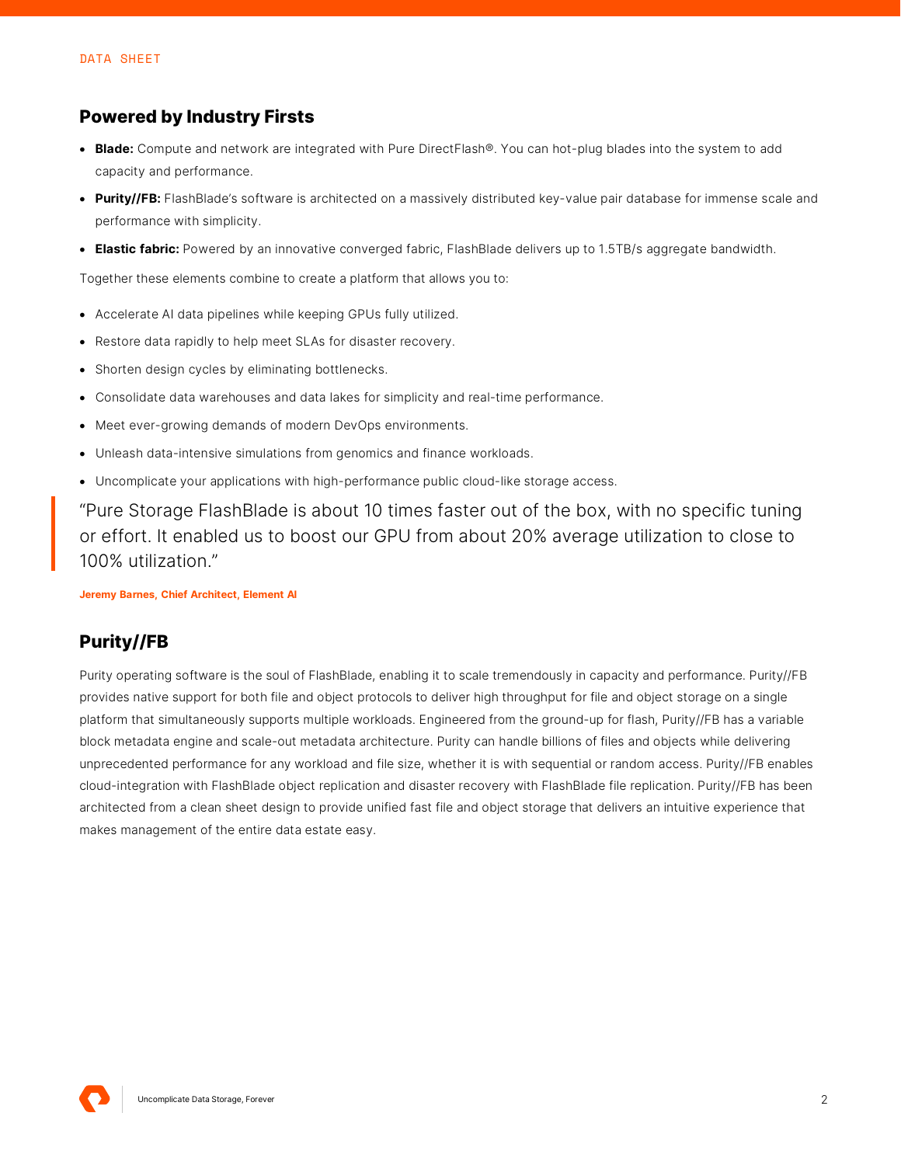## **Powered by Industry Firsts**

- **Blade:** Compute and network are integrated with Pure DirectFlash®. You can hot-plug blades into the system to add capacity and performance.
- **Purity//FB:** FlashBlade's software is architected on a massively distributed key-value pair database for immense scale and performance with simplicity.
- **Elastic fabric:** Powered by an innovative converged fabric, FlashBlade delivers up to 1.5TB/s aggregate bandwidth.

Together these elements combine to create a platform that allows you to:

- Accelerate AI data pipelines while keeping GPUs fully utilized.
- Restore data rapidly to help meet SLAs for disaster recovery.
- Shorten design cycles by eliminating bottlenecks.
- Consolidate data warehouses and data lakes for simplicity and real-time performance.
- Meet ever-growing demands of modern DevOps environments.
- Unleash data-intensive simulations from genomics and finance workloads.
- Uncomplicate your applications with high-performance public cloud-like storage access.

"Pure Storage FlashBlade is about 10 times faster out of the box, with no specific tuning or effort. It enabled us to boost our GPU from about 20% average utilization to close to 100% utilization."

**Jeremy Barnes, Chief Architect, Element AI**

## **Purity//FB**

Purity operating software is the soul of FlashBlade, enabling it to scale tremendously in capacity and performance. Purity//FB provides native support for both file and object protocols to deliver high throughput for file and object storage on a single platform that simultaneously supports multiple workloads. Engineered from the ground-up for flash, Purity//FB has a variable block metadata engine and scale-out metadata architecture. Purity can handle billions of files and objects while delivering unprecedented performance for any workload and file size, whether it is with sequential or random access. Purity//FB enables cloud-integration with FlashBlade object replication and disaster recovery with FlashBlade file replication. Purity//FB has been architected from a clean sheet design to provide unified fast file and object storage that delivers an intuitive experience that makes management of the entire data estate easy.

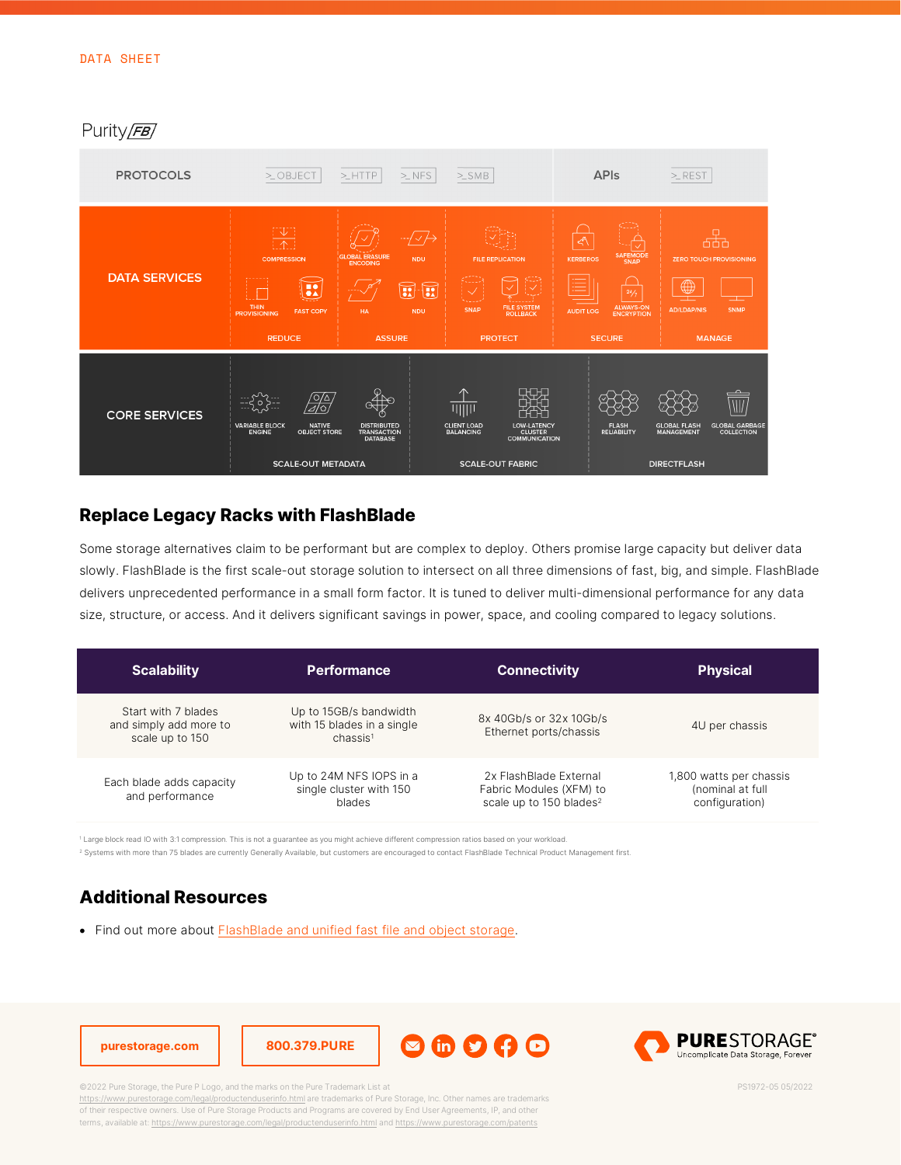## Purity/FB

| <b>PROTOCOLS</b>     | $>$ OBJECT                                                                                                                                 | $>$ NFS<br>$>$ $HTTP$                                                                                                                                | $>\!\!\!5\!\!\!\leq\!\!\!5\!\!\!\leq\!\!\!4$                                                                                        | <b>APIs</b>                                                                                                                                             | $>$ REST                                                                                                                  |
|----------------------|--------------------------------------------------------------------------------------------------------------------------------------------|------------------------------------------------------------------------------------------------------------------------------------------------------|-------------------------------------------------------------------------------------------------------------------------------------|---------------------------------------------------------------------------------------------------------------------------------------------------------|---------------------------------------------------------------------------------------------------------------------------|
| <b>DATA SERVICES</b> | ! ↓ !<br>$\uparrow \uparrow$<br><b>COMPRESSION</b><br><b>BA</b><br><b>THIN</b><br><b>FAST COPY</b><br><b>PROVISIONING</b><br><b>REDUCE</b> | <b>GLOBAL ERASURE</b><br><b>NDU</b><br><b>ENCODING</b><br>$\textcolor{blue}{\blacksquare}$<br>$\sqrt{2}$<br><b>NDU</b><br><b>HA</b><br><b>ASSURE</b> | <b>FILE REPLICATION</b><br>T<br>$\overline{\mathbb{V}}$<br>FILE SYSTEM<br>ROLLBACK<br>SNAP<br><b>PROTECT</b>                        | $\prec^{\!\mathsf{A}}\!\!\setminus$<br>SAFEMODE<br>SNAP<br><b>KERBEROS</b><br>Ē<br>24/7<br>ALWAYS-ON<br>ENCRYPTION<br><b>AUDIT LOG</b><br><b>SECURE</b> | 난나<br><b>ZERO TOUCH PROVISIONING</b><br>$\bigoplus$<br><b>AD/LDAP/NIS</b><br>SNMP<br><b>MANAGE</b>                        |
| <b>CORE SERVICES</b> | <u>/o/∆</u><br>'alo<br><b>NATIVE</b><br><b>VARIABLE BLOCK</b><br><b>OBJECT STORE</b><br><b>ENGINE</b><br><b>SCALE-OUT METADATA</b>         | <b>DISTRIBUTED</b><br><b>TRANSACTION</b><br><b>DATABASE</b>                                                                                          | Ҥ<br>       <br>LOW-LATENCY<br>CLUSTER<br><b>CLIENT LOAD</b><br><b>BALANCING</b><br><b>COMMUNICATION</b><br><b>SCALE-OUT FABRIC</b> | <b>FLASH</b><br><b>RELIABILITY</b>                                                                                                                      | $\overline{\text{III}}$<br><b>GLOBAL FLASH</b><br>GLOBAL GARBAGE<br>COLLECTION<br><b>MANAGEMENT</b><br><b>DIRECTFLASH</b> |

## **Replace Legacy Racks with FlashBlade**

Some storage alternatives claim to be performant but are complex to deploy. Others promise large capacity but deliver data slowly. FlashBlade is the first scale-out storage solution to intersect on all three dimensions of fast, big, and simple. FlashBlade delivers unprecedented performance in a small form factor. It is tuned to deliver multi-dimensional performance for any data size, structure, or access. And it delivers significant savings in power, space, and cooling compared to legacy solutions.

| <b>Scalability</b>                                               | <b>Performance</b>                                                           | <b>Connectivity</b>                                                                      | <b>Physical</b>                                               |
|------------------------------------------------------------------|------------------------------------------------------------------------------|------------------------------------------------------------------------------------------|---------------------------------------------------------------|
| Start with 7 blades<br>and simply add more to<br>scale up to 150 | Up to 15GB/s bandwidth<br>with 15 blades in a single<br>chassis <sup>1</sup> | 8x 40Gb/s or 32x 10Gb/s<br>Ethernet ports/chassis                                        | 4U per chassis                                                |
| Each blade adds capacity<br>and performance                      | Up to 24M NFS IOPS in a<br>single cluster with 150<br>blades                 | 2x FlashBlade External<br>Fabric Modules (XFM) to<br>scale up to 150 blades <sup>2</sup> | 1,800 watts per chassis<br>(nominal at full<br>configuration) |

<sup>1</sup> Large block read IO with 3:1 compression. This is not a guarantee as you might achieve different compression ratios based on your workload.

<sup>2</sup> Systems with more than 75 blades are currently Generally Available, but customers are encouraged to contact FlashBlade Technical Product Management first.

# **Additional Resources**

• Find out more about **FlashBlade and unified fast file and object storage**.



©2022 Pure Storage, the Pure P Logo, and the marks on the Pure Trademark List at

<https://www.purestorage.com/legal/productenduserinfo.html> are trademarks of Pure Storage, Inc. Other names are trademarks of their respective owners. Use of Pure Storage Products and Programs are covered by End User Agreements, IP, and other terms, available at: <https://www.purestorage.com/legal/productenduserinfo.html> and <https://www.purestorage.com/patents>